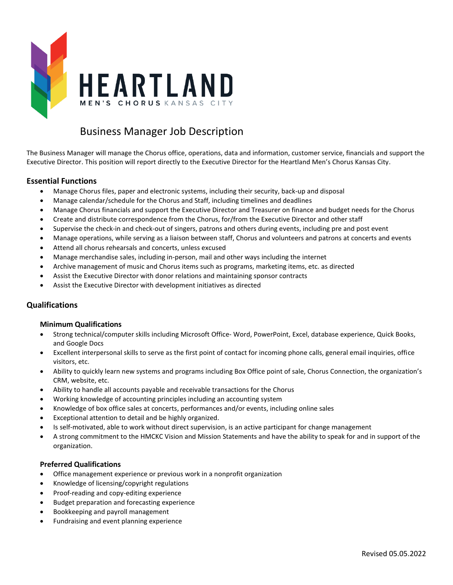

# Business Manager Job Description

The Business Manager will manage the Chorus office, operations, data and information, customer service, financials and support the Executive Director. This position will report directly to the Executive Director for the Heartland Men's Chorus Kansas City.

## **Essential Functions**

- Manage Chorus files, paper and electronic systems, including their security, back-up and disposal
- Manage calendar/schedule for the Chorus and Staff, including timelines and deadlines
- Manage Chorus financials and support the Executive Director and Treasurer on finance and budget needs for the Chorus
- Create and distribute correspondence from the Chorus, for/from the Executive Director and other staff
- Supervise the check-in and check-out of singers, patrons and others during events, including pre and post event
- Manage operations, while serving as a liaison between staff, Chorus and volunteers and patrons at concerts and events
- Attend all chorus rehearsals and concerts, unless excused
- Manage merchandise sales, including in-person, mail and other ways including the internet
- Archive management of music and Chorus items such as programs, marketing items, etc. as directed
- Assist the Executive Director with donor relations and maintaining sponsor contracts
- Assist the Executive Director with development initiatives as directed

## **Qualifications**

#### **Minimum Qualifications**

- Strong technical/computer skills including Microsoft Office- Word, PowerPoint, Excel, database experience, Quick Books, and Google Docs
- Excellent interpersonal skills to serve as the first point of contact for incoming phone calls, general email inquiries, office visitors, etc.
- Ability to quickly learn new systems and programs including Box Office point of sale, Chorus Connection, the organization's CRM, website, etc.
- Ability to handle all accounts payable and receivable transactions for the Chorus
- Working knowledge of accounting principles including an accounting system
- Knowledge of box office sales at concerts, performances and/or events, including online sales
- Exceptional attention to detail and be highly organized.
- Is self-motivated, able to work without direct supervision, is an active participant for change management
- A strong commitment to the HMCKC Vision and Mission Statements and have the ability to speak for and in support of the organization.

#### **Preferred Qualifications**

- Office management experience or previous work in a nonprofit organization
- Knowledge of licensing/copyright regulations
- Proof-reading and copy-editing experience
- Budget preparation and forecasting experience
- Bookkeeping and payroll management
- Fundraising and event planning experience